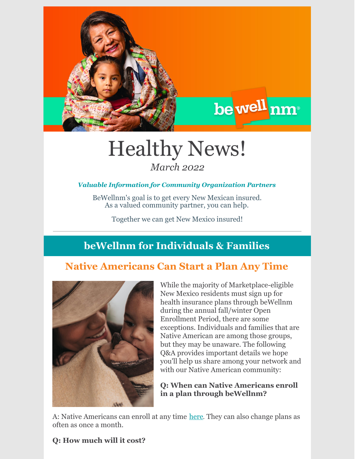

# Healthy News! *March 2022*

#### *Valuable Information for Community Organization Partners*

BeWellnm's goal is to get every New Mexican insured. As a valued community partner, you can help.

Together we can get New Mexico insured!

## **beWellnm for Individuals & Families**

### **Native Americans Can Start a Plan Any Time**



While the majority of Marketplace-eligible New Mexico residents must sign up for health insurance plans through beWellnm during the annual fall/winter Open Enrollment Period, there are some exceptions. Individuals and families that are Native American are among those groups, but they may be unaware. The following Q&A provides important details we hope you'll help us share among your network and with our Native American community:

be well nm

#### **Q: When can Native Americans enroll in a plan through beWellnm?**

A: Native Americans can enroll at any time [here](https://www.bewellnm.com/getting-started/new-customers/are-you-native-american/). They can also change plans as often as once a month.

#### **Q: How much will it cost?**